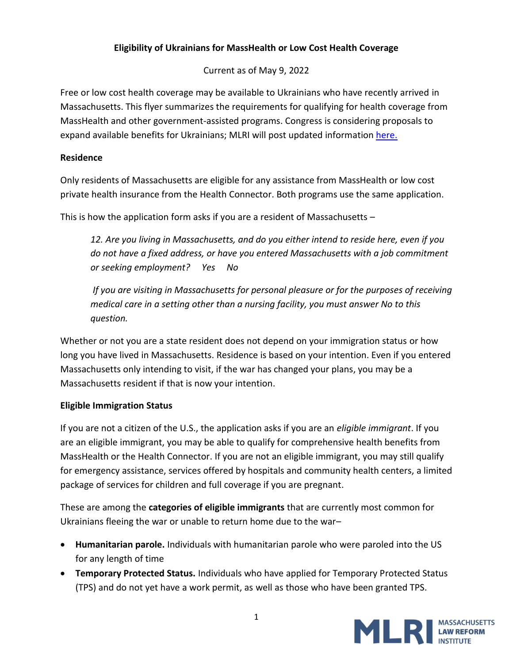# **Eligibility of Ukrainians for MassHealth or Low Cost Health Coverage**

Current as of May 9, 2022

Free or low cost health coverage may be available to Ukrainians who have recently arrived in Massachusetts. This flyer summarizes the requirements for qualifying for health coverage from MassHealth and other government-assisted programs. Congress is considering proposals to expand available benefits for Ukrainians; MLRI will post updated information [here.](https://www.masslegalservices.org/content/health-coverage-ukranians)

### **Residence**

Only residents of Massachusetts are eligible for any assistance from MassHealth or low cost private health insurance from the Health Connector. Both programs use the same application.

This is how the application form asks if you are a resident of Massachusetts –

*12. Are you living in Massachusetts, and do you either intend to reside here, even if you do not have a fixed address, or have you entered Massachusetts with a job commitment or seeking employment? Yes No*

*If you are visiting in Massachusetts for personal pleasure or for the purposes of receiving medical care in a setting other than a nursing facility, you must answer No to this question.*

Whether or not you are a state resident does not depend on your immigration status or how long you have lived in Massachusetts. Residence is based on your intention. Even if you entered Massachusetts only intending to visit, if the war has changed your plans, you may be a Massachusetts resident if that is now your intention.

## **Eligible Immigration Status**

If you are not a citizen of the U.S., the application asks if you are an *eligible immigrant*. If you are an eligible immigrant, you may be able to qualify for comprehensive health benefits from MassHealth or the Health Connector. If you are not an eligible immigrant, you may still qualify for emergency assistance, services offered by hospitals and community health centers, a limited package of services for children and full coverage if you are pregnant.

These are among the **categories of eligible immigrants** that are currently most common for Ukrainians fleeing the war or unable to return home due to the war–

- **Humanitarian parole.** Individuals with humanitarian parole who were paroled into the US for any length of time
- **Temporary Protected Status.** Individuals who have applied for Temporary Protected Status (TPS) and do not yet have a work permit, as well as those who have been granted TPS.

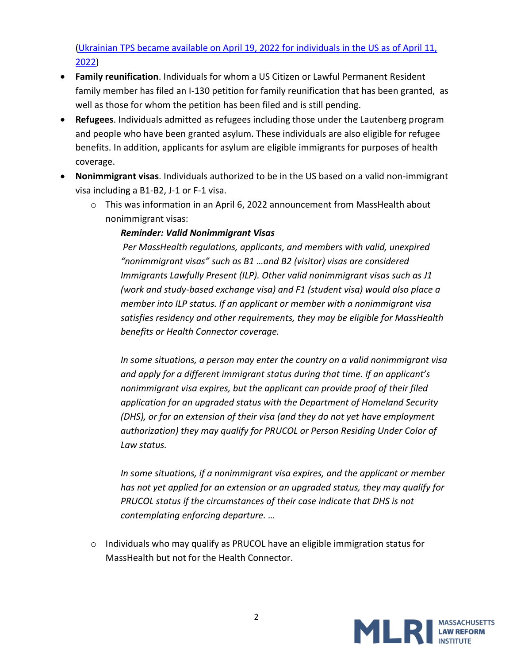(Ukrainian TPS [became available on April 19, 2022 for individuals in the US as of April 11,](https://www.uscis.gov/i-9-central/covid-19-form-i-9-related-news/dhs-secretary-designates-ukraine-for-tps#:~:text=Secretary%20of%20Homeland%20Security%20Alejandro,29%2C%202023.)  [2022\)](https://www.uscis.gov/i-9-central/covid-19-form-i-9-related-news/dhs-secretary-designates-ukraine-for-tps#:~:text=Secretary%20of%20Homeland%20Security%20Alejandro,29%2C%202023.)

- **Family reunification**. Individuals for whom a US Citizen or Lawful Permanent Resident family member has filed an I-130 petition for family reunification that has been granted, as well as those for whom the petition has been filed and is still pending.
- **Refugees**. Individuals admitted as refugees including those under the Lautenberg program and people who have been granted asylum. These individuals are also eligible for refugee benefits. In addition, applicants for asylum are eligible immigrants for purposes of health coverage.
- **Nonimmigrant visas**. Individuals authorized to be in the US based on a valid non-immigrant visa including a B1-B2, J-1 or F-1 visa.
	- $\circ$  This was information in an April 6, 2022 announcement from MassHealth about nonimmigrant visas:

## *Reminder: Valid Nonimmigrant Visas*

*Per MassHealth regulations, applicants, and members with valid, unexpired "nonimmigrant visas" such as B1 …and B2 (visitor) visas are considered Immigrants Lawfully Present (ILP). Other valid nonimmigrant visas such as J1 (work and study-based exchange visa) and F1 (student visa) would also place a member into ILP status. If an applicant or member with a nonimmigrant visa satisfies residency and other requirements, they may be eligible for MassHealth benefits or Health Connector coverage.* 

*In some situations, a person may enter the country on a valid nonimmigrant visa and apply for a different immigrant status during that time. If an applicant's nonimmigrant visa expires, but the applicant can provide proof of their filed application for an upgraded status with the Department of Homeland Security (DHS), or for an extension of their visa (and they do not yet have employment authorization) they may qualify for PRUCOL or Person Residing Under Color of Law status.* 

*In some situations, if a nonimmigrant visa expires, and the applicant or member has not yet applied for an extension or an upgraded status, they may qualify for PRUCOL status if the circumstances of their case indicate that DHS is not contemplating enforcing departure. …*

o Individuals who may qualify as PRUCOL have an eligible immigration status for MassHealth but not for the Health Connector.